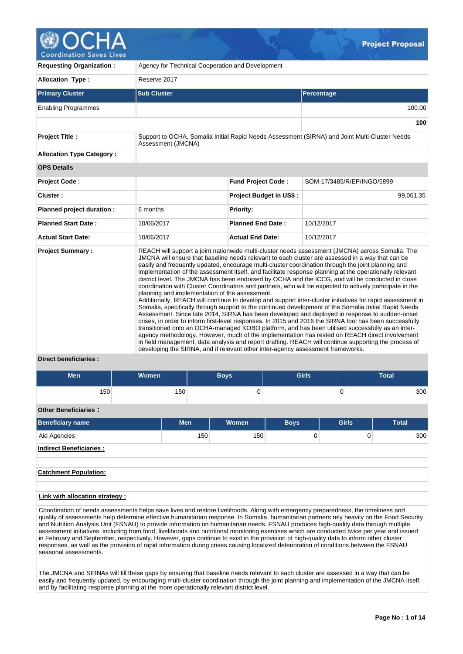

| <b>Requesting Organization:</b>                   | Agency for Technical Cooperation and Development                                                                                                                                                                                                                                                                                                                                                                                                                                                                                                                                                                                                                                                                                                                                                                                                                                                                                                                                                                                                                                                                                                                                                                                                                                                                                                                                                                                                                                                                              |                                |                                                                                               |  |  |  |
|---------------------------------------------------|-------------------------------------------------------------------------------------------------------------------------------------------------------------------------------------------------------------------------------------------------------------------------------------------------------------------------------------------------------------------------------------------------------------------------------------------------------------------------------------------------------------------------------------------------------------------------------------------------------------------------------------------------------------------------------------------------------------------------------------------------------------------------------------------------------------------------------------------------------------------------------------------------------------------------------------------------------------------------------------------------------------------------------------------------------------------------------------------------------------------------------------------------------------------------------------------------------------------------------------------------------------------------------------------------------------------------------------------------------------------------------------------------------------------------------------------------------------------------------------------------------------------------------|--------------------------------|-----------------------------------------------------------------------------------------------|--|--|--|
| <b>Allocation Type:</b>                           | Reserve 2017                                                                                                                                                                                                                                                                                                                                                                                                                                                                                                                                                                                                                                                                                                                                                                                                                                                                                                                                                                                                                                                                                                                                                                                                                                                                                                                                                                                                                                                                                                                  |                                |                                                                                               |  |  |  |
| <b>Primary Cluster</b>                            | <b>Sub Cluster</b>                                                                                                                                                                                                                                                                                                                                                                                                                                                                                                                                                                                                                                                                                                                                                                                                                                                                                                                                                                                                                                                                                                                                                                                                                                                                                                                                                                                                                                                                                                            |                                | Percentage                                                                                    |  |  |  |
| <b>Enabling Programmes</b>                        |                                                                                                                                                                                                                                                                                                                                                                                                                                                                                                                                                                                                                                                                                                                                                                                                                                                                                                                                                                                                                                                                                                                                                                                                                                                                                                                                                                                                                                                                                                                               |                                | 100.00                                                                                        |  |  |  |
|                                                   |                                                                                                                                                                                                                                                                                                                                                                                                                                                                                                                                                                                                                                                                                                                                                                                                                                                                                                                                                                                                                                                                                                                                                                                                                                                                                                                                                                                                                                                                                                                               |                                | 100                                                                                           |  |  |  |
| <b>Project Title:</b>                             | Assessment (JMCNA)                                                                                                                                                                                                                                                                                                                                                                                                                                                                                                                                                                                                                                                                                                                                                                                                                                                                                                                                                                                                                                                                                                                                                                                                                                                                                                                                                                                                                                                                                                            |                                | Support to OCHA, Somalia Initial Rapid Needs Assessment (SIRNA) and Joint Multi-Cluster Needs |  |  |  |
| <b>Allocation Type Category:</b>                  |                                                                                                                                                                                                                                                                                                                                                                                                                                                                                                                                                                                                                                                                                                                                                                                                                                                                                                                                                                                                                                                                                                                                                                                                                                                                                                                                                                                                                                                                                                                               |                                |                                                                                               |  |  |  |
| <b>OPS Details</b>                                |                                                                                                                                                                                                                                                                                                                                                                                                                                                                                                                                                                                                                                                                                                                                                                                                                                                                                                                                                                                                                                                                                                                                                                                                                                                                                                                                                                                                                                                                                                                               |                                |                                                                                               |  |  |  |
| <b>Project Code:</b>                              |                                                                                                                                                                                                                                                                                                                                                                                                                                                                                                                                                                                                                                                                                                                                                                                                                                                                                                                                                                                                                                                                                                                                                                                                                                                                                                                                                                                                                                                                                                                               | <b>Fund Project Code:</b>      | SOM-17/3485/R/EP/INGO/5899                                                                    |  |  |  |
| Cluster:                                          |                                                                                                                                                                                                                                                                                                                                                                                                                                                                                                                                                                                                                                                                                                                                                                                                                                                                                                                                                                                                                                                                                                                                                                                                                                                                                                                                                                                                                                                                                                                               | <b>Project Budget in US\$:</b> | 99,061.35                                                                                     |  |  |  |
| Planned project duration :                        | 6 months                                                                                                                                                                                                                                                                                                                                                                                                                                                                                                                                                                                                                                                                                                                                                                                                                                                                                                                                                                                                                                                                                                                                                                                                                                                                                                                                                                                                                                                                                                                      | <b>Priority:</b>               |                                                                                               |  |  |  |
| <b>Planned Start Date:</b>                        | 10/06/2017                                                                                                                                                                                                                                                                                                                                                                                                                                                                                                                                                                                                                                                                                                                                                                                                                                                                                                                                                                                                                                                                                                                                                                                                                                                                                                                                                                                                                                                                                                                    | <b>Planned End Date:</b>       | 10/12/2017                                                                                    |  |  |  |
| <b>Actual Start Date:</b>                         | 10/06/2017                                                                                                                                                                                                                                                                                                                                                                                                                                                                                                                                                                                                                                                                                                                                                                                                                                                                                                                                                                                                                                                                                                                                                                                                                                                                                                                                                                                                                                                                                                                    | <b>Actual End Date:</b>        | 10/12/2017                                                                                    |  |  |  |
| <b>Project Summary:</b><br>Diroct honoficiarios : | REACH will support a joint nationwide multi-cluster needs assessment (JMCNA) across Somalia. The<br>JMCNA will ensure that baseline needs relevant to each cluster are assessed in a way that can be<br>easily and frequently updated, encourage multi-cluster coordination through the joint planning and<br>implementation of the assessment itself, and facilitate response planning at the operationally relevant<br>district level. The JMCNA has been endorsed by OCHA and the ICCG, and will be conducted in close<br>coordination with Cluster Coordinators and partners, who will be expected to actively participate in the<br>planning and implementation of the assessment.<br>Additionally, REACH will continue to develop and support inter-cluster initiatives for rapid assessment in<br>Somalia, specifically through support to the continued development of the Somalia Initial Rapid Needs<br>Assessment. Since late 2014, SIRNA has been developed and deployed in response to sudden-onset<br>crises, in order to inform first-level responses. In 2015 and 2016 the SIRNA tool has been successfully<br>transitioned onto an OCHA-managed KOBO platform, and has been utilised successfully as an inter-<br>agency methodology. However, much of the implementation has rested on REACH direct involvement<br>in field management, data analysis and report drafting. REACH will continue supporting the process of<br>developing the SIRNA, and if relevant other inter-agency assessment frameworks. |                                |                                                                                               |  |  |  |

### **Direct beneficiaries :**

| <b>Men</b>                     | <b>Women</b> |            | <b>Boys</b> | <b>Girls</b>   |              | <b>Total</b> |  |  |
|--------------------------------|--------------|------------|-------------|----------------|--------------|--------------|--|--|
| 150                            |              | 150        | 0           |                | 0            | 300          |  |  |
| <b>Other Beneficiaries:</b>    |              |            |             |                |              |              |  |  |
| <b>Beneficiary name</b>        |              | <b>Men</b> | Women       | <b>Boys</b>    | <b>Girls</b> | <b>Total</b> |  |  |
| Aid Agencies                   |              | 150        | 150         | $\overline{0}$ | $\Omega$     | 300          |  |  |
| <b>Indirect Beneficiaries:</b> |              |            |             |                |              |              |  |  |
|                                |              |            |             |                |              |              |  |  |
| <b>Catchment Population:</b>   |              |            |             |                |              |              |  |  |
| .                              |              |            |             |                |              |              |  |  |

# **Link with allocation strategy :**

Coordination of needs assessments helps save lives and restore livelihoods. Along with emergency preparedness, the timeliness and quality of assessments help determine effective humanitarian response. In Somalia, humanitarian partners rely heavily on the Food Security and Nutrition Analysis Unit (FSNAU) to provide information on humanitarian needs. FSNAU produces high-quality data through multiple assessment initiatives, including from food, livelihoods and nutritional monitoring exercises which are conducted twice per year and issued in February and September, respectively. However, gaps continue to exist in the provision of high-quality data to inform other cluster responses, as well as the provision of rapid information during crises causing localized deterioration of conditions between the FSNAU seasonal assessments.

The JMCNA and SIRNAs will fill these gaps by ensuring that baseline needs relevant to each cluster are assessed in a way that can be easily and frequently updated, by encouraging multi-cluster coordination through the joint planning and implementation of the JMCNA itself, and by facilitating response planning at the more operationally relevant district level.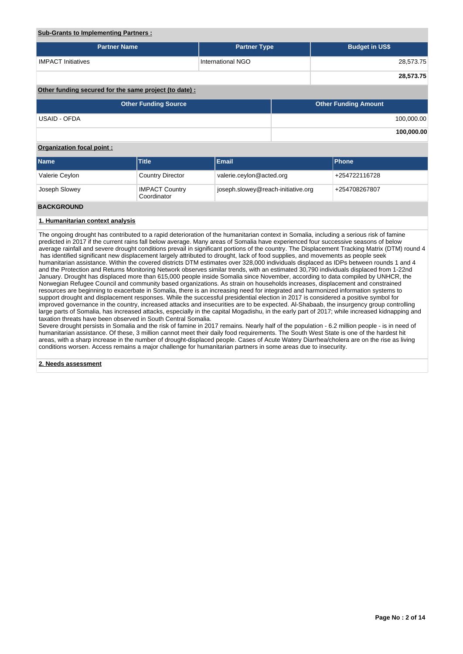# **Sub-Grants to Implementing Partners :**

| <b>Partner Name</b>                                   | <b>Partner Type</b> | <b>Budget in US\$</b> |
|-------------------------------------------------------|---------------------|-----------------------|
| <b>IMPACT Initiatives</b>                             | International NGO   | 28,573.75             |
|                                                       |                     | 28,573.75             |
| Other funding secured for the same project (to date): |                     |                       |

| <b>Other Funding Source</b> | <b>Other Funding Amount</b> |
|-----------------------------|-----------------------------|
| USAID - OFDA                | 100,000.00                  |
|                             | 100,000.00                  |

# **Organization focal point :**

| <b>Name</b>    | <b>Title</b>                         | Email                              | <b>Phone</b>  |
|----------------|--------------------------------------|------------------------------------|---------------|
| Valerie Ceylon | <b>Country Director</b>              | valerie.ceylon@acted.org           | +254722116728 |
| Joseph Slowey  | <b>IMPACT Country</b><br>Coordinator | joseph.slowey@reach-initiative.org | +254708267807 |
|                |                                      |                                    |               |

# **BACKGROUND**

# **1. Humanitarian context analysis**

The ongoing drought has contributed to a rapid deterioration of the humanitarian context in Somalia, including a serious risk of famine predicted in 2017 if the current rains fall below average. Many areas of Somalia have experienced four successive seasons of below average rainfall and severe drought conditions prevail in significant portions of the country. The Displacement Tracking Matrix (DTM) round 4 has identified significant new displacement largely attributed to drought, lack of food supplies, and movements as people seek humanitarian assistance. Within the covered districts DTM estimates over 328,000 individuals displaced as IDPs between rounds 1 and 4 and the Protection and Returns Monitoring Network observes similar trends, with an estimated 30,790 individuals displaced from 1-22nd January. Drought has displaced more than 615,000 people inside Somalia since November, according to data compiled by UNHCR, the Norwegian Refugee Council and community based organizations. As strain on households increases, displacement and constrained resources are beginning to exacerbate in Somalia, there is an increasing need for integrated and harmonized information systems to support drought and displacement responses. While the successful presidential election in 2017 is considered a positive symbol for improved governance in the country, increased attacks and insecurities are to be expected. Al-Shabaab, the insurgency group controlling large parts of Somalia, has increased attacks, especially in the capital Mogadishu, in the early part of 2017; while increased kidnapping and taxation threats have been observed in South Central Somalia.

Severe drought persists in Somalia and the risk of famine in 2017 remains. Nearly half of the population - 6.2 million people - is in need of humanitarian assistance. Of these, 3 million cannot meet their daily food requirements. The South West State is one of the hardest hit areas, with a sharp increase in the number of drought-displaced people. Cases of Acute Watery Diarrhea/cholera are on the rise as living conditions worsen. Access remains a major challenge for humanitarian partners in some areas due to insecurity.

**2. Needs assessment**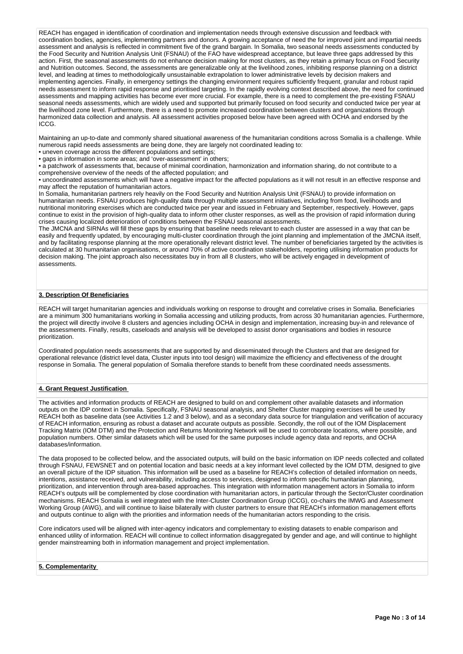REACH has engaged in identification of coordination and implementation needs through extensive discussion and feedback with coordination bodies, agencies, implementing partners and donors. A growing acceptance of need the for improved joint and impartial needs assessment and analysis is reflected in commitment five of the grand bargain. In Somalia, two seasonal needs assessments conducted by the Food Security and Nutrition Analysis Unit (FSNAU) of the FAO have widespread acceptance, but leave three gaps addressed by this action. First, the seasonal assessments do not enhance decision making for most clusters, as they retain a primary focus on Food Security and Nutrition outcomes. Second, the assessments are generalizable only at the livelihood zones, inhibiting response planning on a district level, and leading at times to methodologically unsustainable extrapolation to lower administrative levels by decision makers and implementing agencies. Finally, in emergency settings the changing environment requires sufficiently frequent, granular and robust rapid needs assessment to inform rapid response and prioritised targeting. In the rapidly evolving context described above, the need for continued assessments and mapping activities has become ever more crucial. For example, there is a need to complement the pre-existing FSNAU seasonal needs assessments, which are widely used and supported but primarily focused on food security and conducted twice per year at the livelihood zone level. Furthermore, there is a need to promote increased coordination between clusters and organizations through harmonized data collection and analysis. All assessment activities proposed below have been agreed with OCHA and endorsed by the ICCG.

Maintaining an up-to-date and commonly shared situational awareness of the humanitarian conditions across Somalia is a challenge. While numerous rapid needs assessments are being done, they are largely not coordinated leading to:

• uneven coverage across the different populations and settings;

• gaps in information in some areas; and 'over-assessment' in others;

• a patchwork of assessments that, because of minimal coordination, harmonization and information sharing, do not contribute to a comprehensive overview of the needs of the affected population; and

• uncoordinated assessments which will have a negative impact for the affected populations as it will not result in an effective response and may affect the reputation of humanitarian actors.

In Somalia, humanitarian partners rely heavily on the Food Security and Nutrition Analysis Unit (FSNAU) to provide information on humanitarian needs. FSNAU produces high-quality data through multiple assessment initiatives, including from food, livelihoods and nutritional monitoring exercises which are conducted twice per year and issued in February and September, respectively. However, gaps continue to exist in the provision of high-quality data to inform other cluster responses, as well as the provision of rapid information during crises causing localized deterioration of conditions between the FSNAU seasonal assessments.

The JMCNA and SIRNAs will fill these gaps by ensuring that baseline needs relevant to each cluster are assessed in a way that can be easily and frequently updated, by encouraging multi-cluster coordination through the joint planning and implementation of the JMCNA itself, and by facilitating response planning at the more operationally relevant district level. The number of beneficiaries targeted by the activities is calculated at 30 humanitarian organisations, or around 70% of active coordination stakeholders, reporting utilising information products for decision making. The joint approach also necessitates buy in from all 8 clusters, who will be actively engaged in development of assessments.

# **3. Description Of Beneficiaries**

REACH will target humanitarian agencies and individuals working on response to drought and correlative crises in Somalia. Beneficiaries are a minimum 300 humanitarians working in Somalia accessing and utilizing products, from across 30 humanitarian agencies. Furthermore, the project will directly involve 8 clusters and agencies including OCHA in design and implementation, increasing buy-in and relevance of the assessments. Finally, results, caseloads and analysis will be developed to assist donor organisations and bodies in resource prioritization.

Coordinated population needs assessments that are supported by and disseminated through the Clusters and that are designed for operational relevance (district level data, Cluster inputs into tool design) will maximize the efficiency and effectiveness of the drought response in Somalia. The general population of Somalia therefore stands to benefit from these coordinated needs assessments.

## **4. Grant Request Justification**

The activities and information products of REACH are designed to build on and complement other available datasets and information outputs on the IDP context in Somalia. Specifically, FSNAU seasonal analysis, and Shelter Cluster mapping exercises will be used by REACH both as baseline data (see Activities 1.2 and 3 below), and as a secondary data source for triangulation and verification of accuracy of REACH information, ensuring as robust a dataset and accurate outputs as possible. Secondly, the roll out of the IOM Displacement Tracking Matrix (IOM DTM) and the Protection and Returns Monitoring Network will be used to corroborate locations, where possible, and population numbers. Other similar datasets which will be used for the same purposes include agency data and reports, and OCHA databases/information.

The data proposed to be collected below, and the associated outputs, will build on the basic information on IDP needs collected and collated through FSNAU, FEWSNET and on potential location and basic needs at a key informant level collected by the IOM DTM, designed to give an overall picture of the IDP situation. This information will be used as a baseline for REACH's collection of detailed information on needs, intentions, assistance received, and vulnerability, including access to services, designed to inform specific humanitarian planning, prioritization, and intervention through area-based approaches. This integration with information management actors in Somalia to inform REACH's outputs will be complemented by close coordination with humanitarian actors, in particular through the Sector/Cluster coordination mechanisms. REACH Somalia is well integrated with the Inter-Cluster Coordination Group (ICCG), co-chairs the IMWG and Assessment Working Group (AWG), and will continue to liaise bilaterally with cluster partners to ensure that REACH's information management efforts and outputs continue to align with the priorities and information needs of the humanitarian actors responding to the crisis.

Core indicators used will be aligned with inter-agency indicators and complementary to existing datasets to enable comparison and enhanced utility of information. REACH will continue to collect information disaggregated by gender and age, and will continue to highlight gender mainstreaming both in information management and project implementation.

### **5. Complementarity**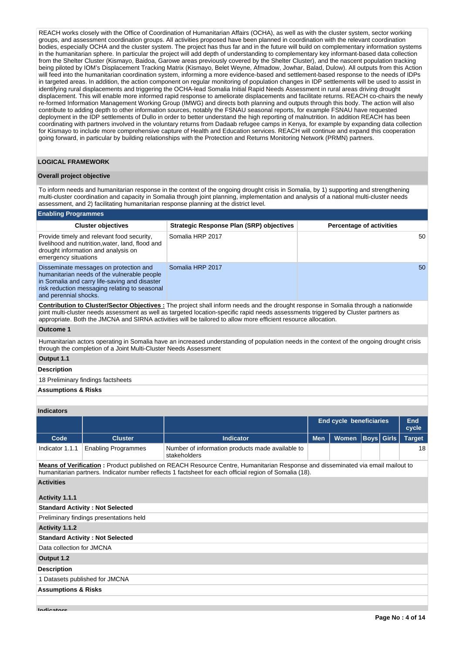REACH works closely with the Office of Coordination of Humanitarian Affairs (OCHA), as well as with the cluster system, sector working groups, and assessment coordination groups. All activities proposed have been planned in coordination with the relevant coordination bodies, especially OCHA and the cluster system. The project has thus far and in the future will build on complementary information systems in the humanitarian sphere. In particular the project will add depth of understanding to complementary key informant-based data collection from the Shelter Cluster (Kismayo, Baidoa, Garowe areas previously covered by the Shelter Cluster), and the nascent population tracking being piloted by IOM's Displacement Tracking Matrix (Kismayo, Belet Weyne, Afmadow, Jowhar, Balad, Dulow). All outputs from this Action will feed into the humanitarian coordination system, informing a more evidence-based and settlement-based response to the needs of IDPs in targeted areas. In addition, the action component on regular monitoring of population changes in IDP settlements will be used to assist in identifying rural displacements and triggering the OCHA-lead Somalia Initial Rapid Needs Assessment in rural areas driving drought displacement. This will enable more informed rapid response to ameliorate displacements and facilitate returns. REACH co-chairs the newly re-formed Information Management Working Group (IMWG) and directs both planning and outputs through this body. The action will also contribute to adding depth to other information sources, notably the FSNAU seasonal reports, for example FSNAU have requested deployment in the IDP settlements of Dullo in order to better understand the high reporting of malnutrition. In addition REACH has been coordinating with partners involved in the voluntary returns from Dadaab refugee camps in Kenya, for example by expanding data collection for Kismayo to include more comprehensive capture of Health and Education services. REACH will continue and expand this cooperation going forward, in particular by building relationships with the Protection and Returns Monitoring Network (PRMN) partners.

#### **LOGICAL FRAMEWORK**

#### **Overall project objective**

To inform needs and humanitarian response in the context of the ongoing drought crisis in Somalia, by 1) supporting and strengthening multi-cluster coordination and capacity in Somalia through joint planning, implementation and analysis of a national multi-cluster needs assessment, and 2) facilitating humanitarian response planning at the district level.

#### **Enabling Programmes**

| <b>Cluster objectives</b>                                                                                                                                                                                        | <b>Strategic Response Plan (SRP) objectives</b> | <b>Percentage of activities</b> |
|------------------------------------------------------------------------------------------------------------------------------------------------------------------------------------------------------------------|-------------------------------------------------|---------------------------------|
| Provide timely and relevant food security,<br>livelihood and nutrition, water, land, flood and<br>drought information and analysis on<br>emergency situations                                                    | Somalia HRP 2017                                | 50                              |
| Disseminate messages on protection and<br>humanitarian needs of the vulnerable people<br>in Somalia and carry life-saving and disaster<br>risk reduction messaging relating to seasonal<br>and perennial shocks. | Somalia HRP 2017                                | 50                              |

**Contribution to Cluster/Sector Objectives :** The project shall inform needs and the drought response in Somalia through a nationwide joint multi-cluster needs assessment as well as targeted location-specific rapid needs assessments triggered by Cluster partners as appropriate. Both the JMCNA and SIRNA activities will be tailored to allow more efficient resource allocation.

#### **Outcome 1**

Humanitarian actors operating in Somalia have an increased understanding of population needs in the context of the ongoing drought crisis through the completion of a Joint Multi-Cluster Needs Assessment

**Output 1.1**

### **Description**

18 Preliminary findings factsheets

### **Assumptions & Risks**

#### **Indicators**

|                 |                            |                                                                  | <b>End cycle beneficiaries</b> |                               |  | End<br>cvcle |    |
|-----------------|----------------------------|------------------------------------------------------------------|--------------------------------|-------------------------------|--|--------------|----|
| Code            | <b>Cluster</b>             | <b>Indicator</b>                                                 | Men l                          | Women   Boys   Girls   Target |  |              |    |
| Indicator 1.1.1 | <b>Enabling Programmes</b> | Number of information products made available to<br>stakeholders |                                |                               |  |              | 18 |

**Means of Verification :** Product published on REACH Resource Centre, Humanitarian Response and disseminated via email mailout to humanitarian partners. Indicator number reflects 1 factsheet for each official region of Somalia (18).

# **Activities**

| Activity 1.1.1                          |
|-----------------------------------------|
| <b>Standard Activity: Not Selected</b>  |
| Preliminary findings presentations held |
| Activity 1.1.2                          |
| <b>Standard Activity: Not Selected</b>  |
| Data collection for JMCNA               |
| Output 1.2                              |
| <b>Description</b>                      |
| 1 Datasets published for JMCNA          |
| <b>Assumptions &amp; Risks</b>          |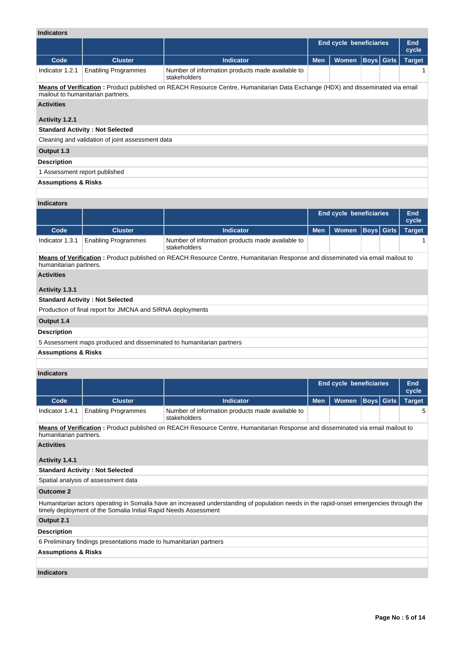| <b>Indicators</b>              |                                                                                                                                                                     |                                                                                                                                |            |                                |             |              |               |  |  |
|--------------------------------|---------------------------------------------------------------------------------------------------------------------------------------------------------------------|--------------------------------------------------------------------------------------------------------------------------------|------------|--------------------------------|-------------|--------------|---------------|--|--|
|                                |                                                                                                                                                                     |                                                                                                                                |            | <b>End cycle beneficiaries</b> |             |              | End<br>cycle  |  |  |
| Code                           | <b>Cluster</b>                                                                                                                                                      | <b>Indicator</b>                                                                                                               | <b>Men</b> | <b>Women</b>                   | <b>Boys</b> | <b>Girls</b> | <b>Target</b> |  |  |
| Indicator 1.2.1                | <b>Enabling Programmes</b>                                                                                                                                          | Number of information products made available to<br>stakeholders                                                               |            |                                |             |              | 1             |  |  |
|                                | Means of Verification: Product published on REACH Resource Centre, Humanitarian Data Exchange (HDX) and disseminated via email<br>mailout to humanitarian partners. |                                                                                                                                |            |                                |             |              |               |  |  |
| <b>Activities</b>              |                                                                                                                                                                     |                                                                                                                                |            |                                |             |              |               |  |  |
| Activity 1.2.1                 |                                                                                                                                                                     |                                                                                                                                |            |                                |             |              |               |  |  |
|                                | <b>Standard Activity: Not Selected</b>                                                                                                                              |                                                                                                                                |            |                                |             |              |               |  |  |
|                                | Cleaning and validation of joint assessment data                                                                                                                    |                                                                                                                                |            |                                |             |              |               |  |  |
| Output 1.3                     |                                                                                                                                                                     |                                                                                                                                |            |                                |             |              |               |  |  |
| <b>Description</b>             |                                                                                                                                                                     |                                                                                                                                |            |                                |             |              |               |  |  |
| 1 Assessment report published  |                                                                                                                                                                     |                                                                                                                                |            |                                |             |              |               |  |  |
| <b>Assumptions &amp; Risks</b> |                                                                                                                                                                     |                                                                                                                                |            |                                |             |              |               |  |  |
|                                |                                                                                                                                                                     |                                                                                                                                |            |                                |             |              |               |  |  |
| <b>Indicators</b>              |                                                                                                                                                                     |                                                                                                                                |            |                                |             |              |               |  |  |
|                                |                                                                                                                                                                     |                                                                                                                                |            | <b>End cycle beneficiaries</b> |             |              | End<br>cycle  |  |  |
| Code                           | <b>Cluster</b>                                                                                                                                                      | <b>Indicator</b>                                                                                                               | <b>Men</b> | <b>Women</b>                   | <b>Boys</b> | <b>Girls</b> | <b>Target</b> |  |  |
| Indicator 1.3.1                | <b>Enabling Programmes</b>                                                                                                                                          | Number of information products made available to<br>stakeholders                                                               |            |                                |             |              | 1             |  |  |
| humanitarian partners.         |                                                                                                                                                                     | Means of Verification: Product published on REACH Resource Centre, Humanitarian Response and disseminated via email mailout to |            |                                |             |              |               |  |  |
| <b>Activities</b>              |                                                                                                                                                                     |                                                                                                                                |            |                                |             |              |               |  |  |
| Activity 1.3.1                 |                                                                                                                                                                     |                                                                                                                                |            |                                |             |              |               |  |  |
|                                | <b>Standard Activity: Not Selected</b>                                                                                                                              |                                                                                                                                |            |                                |             |              |               |  |  |
|                                | Production of final report for JMCNA and SIRNA deployments                                                                                                          |                                                                                                                                |            |                                |             |              |               |  |  |
| Output 1.4                     |                                                                                                                                                                     |                                                                                                                                |            |                                |             |              |               |  |  |
| <b>Description</b>             |                                                                                                                                                                     |                                                                                                                                |            |                                |             |              |               |  |  |
|                                | 5 Assessment maps produced and disseminated to humanitarian partners                                                                                                |                                                                                                                                |            |                                |             |              |               |  |  |
| <b>Assumptions &amp; Risks</b> |                                                                                                                                                                     |                                                                                                                                |            |                                |             |              |               |  |  |

# **Indicators**

|                 |                                                                                                                                       |                                                                  | <b>End cycle beneficiaries</b> |                         |  | End<br>cycle |  |  |  |
|-----------------|---------------------------------------------------------------------------------------------------------------------------------------|------------------------------------------------------------------|--------------------------------|-------------------------|--|--------------|--|--|--|
| Code            | <b>Cluster</b>                                                                                                                        | <b>Indicator</b>                                                 | Men <sup>1</sup>               | Women Boys Girls Target |  |              |  |  |  |
| Indicator 1.4.1 | <b>Enabling Programmes</b>                                                                                                            | Number of information products made available to<br>stakeholders |                                |                         |  |              |  |  |  |
|                 | Maana of Vesification : Decebert subjekted on DEAOU December October Humanitation December and disconfiction of the case in adjact to |                                                                  |                                |                         |  |              |  |  |  |

**Means of Verification :** Product published on REACH Resource Centre, Humanitarian Response and disseminated via email mailout to humanitarian partners.

# **Activities**

### **Activity 1.4.1**

**Standard Activity : Not Selected**

Spatial analysis of assessment data

# **Outcome 2**

Humanitarian actors operating in Somalia have an increased understanding of population needs in the rapid-onset emergencies through the timely deployment of the Somalia Initial Rapid Needs Assessment

## **Output 2.1**

# **Description**

6 Preliminary findings presentations made to humanitarian partners

# **Assumptions & Risks**

# **Indicators**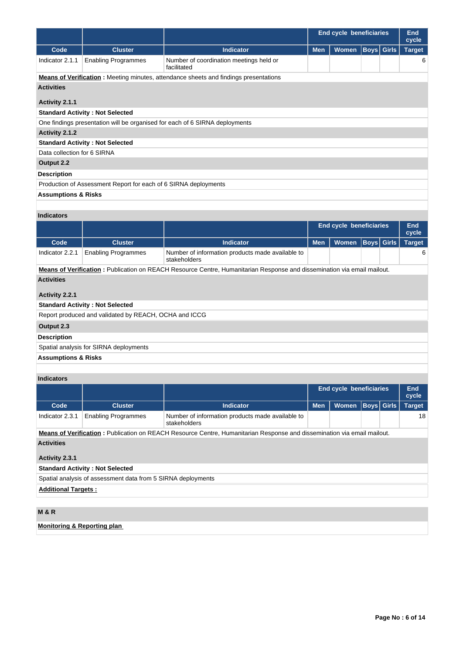|                                |                                                                                                                        |                                                                                             | <b>End cycle beneficiaries</b> |                      |                   |  | End<br>cycle  |  |
|--------------------------------|------------------------------------------------------------------------------------------------------------------------|---------------------------------------------------------------------------------------------|--------------------------------|----------------------|-------------------|--|---------------|--|
| Code                           | <b>Cluster</b>                                                                                                         | <b>Indicator</b>                                                                            | <b>Men</b>                     | Women   Boys   Girls |                   |  | <b>Target</b> |  |
| Indicator 2.1.1                | <b>Enabling Programmes</b>                                                                                             | Number of coordination meetings held or<br>facilitated                                      |                                |                      |                   |  | 6             |  |
|                                |                                                                                                                        | <b>Means of Verification:</b> Meeting minutes, attendance sheets and findings presentations |                                |                      |                   |  |               |  |
| <b>Activities</b>              |                                                                                                                        |                                                                                             |                                |                      |                   |  |               |  |
| Activity 2.1.1                 |                                                                                                                        |                                                                                             |                                |                      |                   |  |               |  |
|                                | <b>Standard Activity: Not Selected</b>                                                                                 |                                                                                             |                                |                      |                   |  |               |  |
|                                |                                                                                                                        | One findings presentation will be organised for each of 6 SIRNA deployments                 |                                |                      |                   |  |               |  |
| Activity 2.1.2                 |                                                                                                                        |                                                                                             |                                |                      |                   |  |               |  |
|                                | <b>Standard Activity: Not Selected</b>                                                                                 |                                                                                             |                                |                      |                   |  |               |  |
| Data collection for 6 SIRNA    |                                                                                                                        |                                                                                             |                                |                      |                   |  |               |  |
| Output 2.2                     |                                                                                                                        |                                                                                             |                                |                      |                   |  |               |  |
| <b>Description</b>             |                                                                                                                        |                                                                                             |                                |                      |                   |  |               |  |
|                                | Production of Assessment Report for each of 6 SIRNA deployments                                                        |                                                                                             |                                |                      |                   |  |               |  |
| <b>Assumptions &amp; Risks</b> |                                                                                                                        |                                                                                             |                                |                      |                   |  |               |  |
|                                |                                                                                                                        |                                                                                             |                                |                      |                   |  |               |  |
| <b>Indicators</b>              |                                                                                                                        |                                                                                             |                                |                      |                   |  |               |  |
|                                |                                                                                                                        |                                                                                             | <b>End cycle beneficiaries</b> | <b>End</b><br>cycle  |                   |  |               |  |
| Code                           | <b>Cluster</b>                                                                                                         | <b>Indicator</b>                                                                            | <b>Men</b>                     | <b>Women</b>         | <b>Boys</b> Girls |  | <b>Target</b> |  |
| Indicator 2.2.1                | <b>Enabling Programmes</b>                                                                                             | Number of information products made available to<br>stakeholders                            |                                |                      |                   |  | 6             |  |
|                                | Meane of Verification : Publication on REACH Resource Contro Humanitarian Response and discomination via email moilout |                                                                                             |                                |                      |                   |  |               |  |

**Means of Verification :** Publication on REACH Resource Centre, Humanitarian Response and dissemination via email mailout. **Activities**

# **Activity 2.2.1**

# **Standard Activity : Not Selected**

Report produced and validated by REACH, OCHA and ICCG

# **Output 2.3**

**Description**

Spatial analysis for SIRNA deployments

# **Assumptions & Risks**

# **Indicators**

|                                                              |                            |                                                                                                                                 | <b>End cycle beneficiaries</b> |              |  | <b>End</b><br>cycle |               |
|--------------------------------------------------------------|----------------------------|---------------------------------------------------------------------------------------------------------------------------------|--------------------------------|--------------|--|---------------------|---------------|
| Code                                                         | <b>Cluster</b>             | <b>Indicator</b>                                                                                                                | <b>Men</b>                     | <b>Women</b> |  | <b>Boys</b> Girls   | <b>Target</b> |
| Indicator 2.3.1                                              | <b>Enabling Programmes</b> | Number of information products made available to<br>stakeholders                                                                |                                |              |  |                     | 18            |
|                                                              |                            | <b>Means of Verification</b> : Publication on REACH Resource Centre, Humanitarian Response and dissemination via email mailout. |                                |              |  |                     |               |
| <b>Activities</b>                                            |                            |                                                                                                                                 |                                |              |  |                     |               |
| Activity 2.3.1                                               |                            |                                                                                                                                 |                                |              |  |                     |               |
| <b>Standard Activity: Not Selected</b>                       |                            |                                                                                                                                 |                                |              |  |                     |               |
| Spatial analysis of assessment data from 5 SIRNA deployments |                            |                                                                                                                                 |                                |              |  |                     |               |

**Additional Targets :**

# **M & R**

**Monitoring & Reporting plan**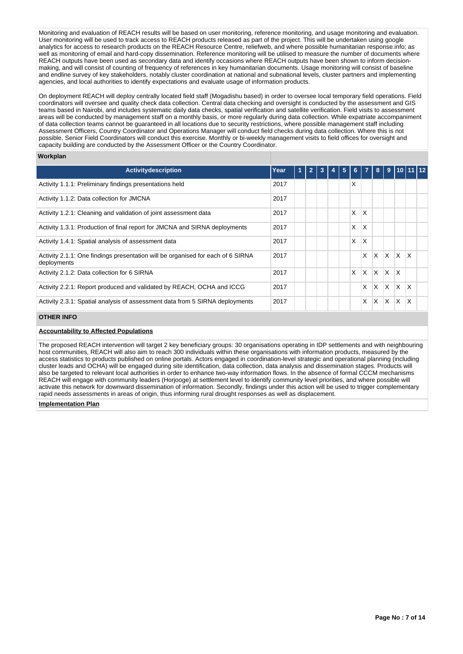Monitoring and evaluation of REACH results will be based on user monitoring, reference monitoring, and usage monitoring and evaluation. User monitoring will be used to track access to REACH products released as part of the project. This will be undertaken using google analytics for access to research products on the REACH Resource Centre, reliefweb, and where possible humanitarian response.info; as well as monitoring of email and hard-copy dissemination. Reference monitoring will be utilised to measure the number of documents where REACH outputs have been used as secondary data and identify occasions where REACH outputs have been shown to inform decisionmaking, and will consist of counting of frequency of references in key humanitarian documents. Usage monitoring will consist of baseline and endline survey of key stakeholders, notably cluster coordination at national and subnational levels, cluster partners and implementing agencies, and local authorities to identify expectations and evaluate usage of information products.

On deployment REACH will deploy centrally located field staff (Mogadishu based) in order to oversee local temporary field operations. Field coordinators will oversee and quality check data collection. Central data checking and oversight is conducted by the assessment and GIS teams based in Nairobi, and includes systematic daily data checks, spatial verification and satellite verification. Field visits to assessment areas will be conducted by management staff on a monthly basis, or more regularly during data collection. While expatriate accompaniment of data collection teams cannot be guaranteed in all locations due to security restrictions, where possible management staff including Assessment Officers, Country Coordinator and Operations Manager will conduct field checks during data collection. Where this is not possible, Senior Field Coordinators will conduct this exercise. Monthly or bi-weekly management visits to field offices for oversight and capacity building are conducted by the Assessment Officer or the Country Coordinator.

#### **Workplan**

| <b>Activity description</b>                                                                    | Year | 1 | $\overline{2}$ | 3 | 4 | 5 | 6 <sup>1</sup> | $\overline{7}$ | 8        |          |              | $9 \mid 10 \mid 11 \mid 12$ |  |
|------------------------------------------------------------------------------------------------|------|---|----------------|---|---|---|----------------|----------------|----------|----------|--------------|-----------------------------|--|
| Activity 1.1.1: Preliminary findings presentations held                                        | 2017 |   |                |   |   |   | X              |                |          |          |              |                             |  |
| Activity 1.1.2: Data collection for JMCNA                                                      | 2017 |   |                |   |   |   |                |                |          |          |              |                             |  |
| Activity 1.2.1: Cleaning and validation of joint assessment data                               | 2017 |   |                |   |   |   | X              | X              |          |          |              |                             |  |
| Activity 1.3.1: Production of final report for JMCNA and SIRNA deployments                     | 2017 |   |                |   |   |   | X              | X              |          |          |              |                             |  |
| Activity 1.4.1: Spatial analysis of assessment data                                            | 2017 |   |                |   |   |   | X              | X              |          |          |              |                             |  |
| Activity 2.1.1: One findings presentation will be organised for each of 6 SIRNA<br>deployments | 2017 |   |                |   |   |   |                | X              | X.       | <b>X</b> | X.           | ΙX.                         |  |
| Activity 2.1.2: Data collection for 6 SIRNA                                                    | 2017 |   |                |   |   |   | $\mathsf{x}$   | IX.            | <b>X</b> | ΙX.      | $\mathsf{X}$ |                             |  |
| Activity 2.2.1: Report produced and validated by REACH, OCHA and ICCG                          | 2017 |   |                |   |   |   |                | x              | X.       | X        | X.           | $\mathsf{X}$                |  |
| Activity 2.3.1: Spatial analysis of assessment data from 5 SIRNA deployments                   | 2017 |   |                |   |   |   |                | X              | X        | X        | X            | X                           |  |

#### **OTHER INFO**

### **Accountability to Affected Populations**

The proposed REACH intervention will target 2 key beneficiary groups: 30 organisations operating in IDP settlements and with neighbouring host communities, REACH will also aim to reach 300 individuals within these organisations with information products, measured by the access statistics to products published on online portals. Actors engaged in coordination-level strategic and operational planning (including cluster leads and OCHA) will be engaged during site identification, data collection, data analysis and dissemination stages. Products will also be targeted to relevant local authorities in order to enhance two-way information flows. In the absence of formal CCCM mechanisms REACH will engage with community leaders (Horjooge) at settlement level to identify community level priorities, and where possible will activate this network for downward dissemination of information. Secondly, findings under this action will be used to trigger complementary rapid needs assessments in areas of origin, thus informing rural drought responses as well as displacement.

#### **Implementation Plan**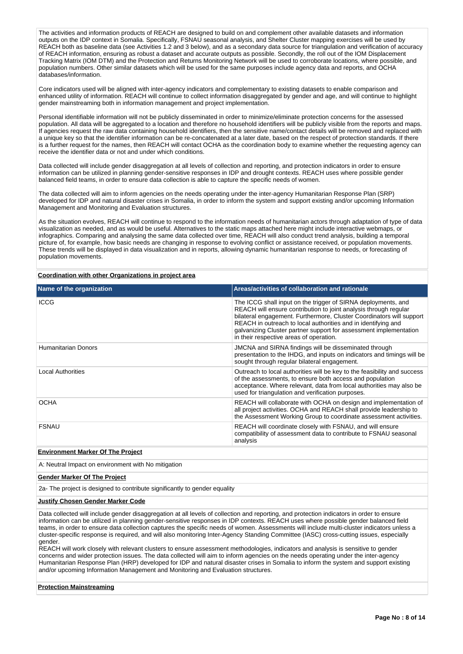The activities and information products of REACH are designed to build on and complement other available datasets and information outputs on the IDP context in Somalia. Specifically, FSNAU seasonal analysis, and Shelter Cluster mapping exercises will be used by REACH both as baseline data (see Activities 1.2 and 3 below), and as a secondary data source for triangulation and verification of accuracy of REACH information, ensuring as robust a dataset and accurate outputs as possible. Secondly, the roll out of the IOM Displacement Tracking Matrix (IOM DTM) and the Protection and Returns Monitoring Network will be used to corroborate locations, where possible, and population numbers. Other similar datasets which will be used for the same purposes include agency data and reports, and OCHA databases/information.

Core indicators used will be aligned with inter-agency indicators and complementary to existing datasets to enable comparison and enhanced utility of information. REACH will continue to collect information disaggregated by gender and age, and will continue to highlight gender mainstreaming both in information management and project implementation.

Personal identifiable information will not be publicly disseminated in order to minimize/eliminate protection concerns for the assessed population. All data will be aggregated to a location and therefore no household identifiers will be publicly visible from the reports and maps. If agencies request the raw data containing household identifiers, then the sensitive name/contact details will be removed and replaced with a unique key so that the identifier information can be re-concatenated at a later date, based on the respect of protection standards. If there is a further request for the names, then REACH will contact OCHA as the coordination body to examine whether the requesting agency can receive the identifier data or not and under which conditions.

Data collected will include gender disaggregation at all levels of collection and reporting, and protection indicators in order to ensure information can be utilized in planning gender-sensitive responses in IDP and drought contexts. REACH uses where possible gender balanced field teams, in order to ensure data collection is able to capture the specific needs of women.

The data collected will aim to inform agencies on the needs operating under the inter-agency Humanitarian Response Plan (SRP) developed for IDP and natural disaster crises in Somalia, in order to inform the system and support existing and/or upcoming Information Management and Monitoring and Evaluation structures.

As the situation evolves, REACH will continue to respond to the information needs of humanitarian actors through adaptation of type of data visualization as needed, and as would be useful. Alternatives to the static maps attached here might include interactive webmaps, or infographics. Comparing and analysing the same data collected over time, REACH will also conduct trend analysis, building a temporal picture of, for example, how basic needs are changing in response to evolving conflict or assistance received, or population movements. These trends will be displayed in data visualization and in reports, allowing dynamic humanitarian response to needs, or forecasting of population movements.

**Coordination with other Organizations in project area**

| Name of the organization | Areas/activities of collaboration and rationale                                                                                                                                                                                                                                                                                                                                            |
|--------------------------|--------------------------------------------------------------------------------------------------------------------------------------------------------------------------------------------------------------------------------------------------------------------------------------------------------------------------------------------------------------------------------------------|
| <b>ICCG</b>              | The ICCG shall input on the trigger of SIRNA deployments, and<br>REACH will ensure contribution to joint analysis through regular<br>bilateral engagement. Furthermore, Cluster Coordinators will support<br>REACH in outreach to local authorities and in identifying and<br>galvanizing Cluster partner support for assessment implementation<br>in their respective areas of operation. |
| Humanitarian Donors      | <b>JMCNA and SIRNA findings will be disseminated through</b><br>presentation to the IHDG, and inputs on indicators and timings will be<br>sought through regular bilateral engagement.                                                                                                                                                                                                     |
| <b>Local Authorities</b> | Outreach to local authorities will be key to the feasibility and success<br>of the assessments, to ensure both access and population<br>acceptance. Where relevant, data from local authorities may also be<br>used for triangulation and verification purposes.                                                                                                                           |
| <b>OCHA</b>              | REACH will collaborate with OCHA on design and implementation of<br>all project activities. OCHA and REACH shall provide leadership to<br>the Assessment Working Group to coordinate assessment activities.                                                                                                                                                                                |
| <b>FSNAU</b>             | REACH will coordinate closely with FSNAU, and will ensure<br>compatibility of assessment data to contribute to FSNAU seasonal<br>analysis                                                                                                                                                                                                                                                  |

# **Environment Marker Of The Project**

A: Neutral Impact on environment with No mitigation

#### **Gender Marker Of The Project**

2a- The project is designed to contribute significantly to gender equality

#### **Justify Chosen Gender Marker Code**

Data collected will include gender disaggregation at all levels of collection and reporting, and protection indicators in order to ensure information can be utilized in planning gender-sensitive responses in IDP contexts. REACH uses where possible gender balanced field teams, in order to ensure data collection captures the specific needs of women. Assessments will include multi-cluster indicators unless a cluster-specific response is required, and will also monitoring Inter-Agency Standing Committee (IASC) cross-cutting issues, especially gender.

REACH will work closely with relevant clusters to ensure assessment methodologies, indicators and analysis is sensitive to gender concerns and wider protection issues. The data collected will aim to inform agencies on the needs operating under the inter-agency Humanitarian Response Plan (HRP) developed for IDP and natural disaster crises in Somalia to inform the system and support existing and/or upcoming Information Management and Monitoring and Evaluation structures.

#### **Protection Mainstreaming**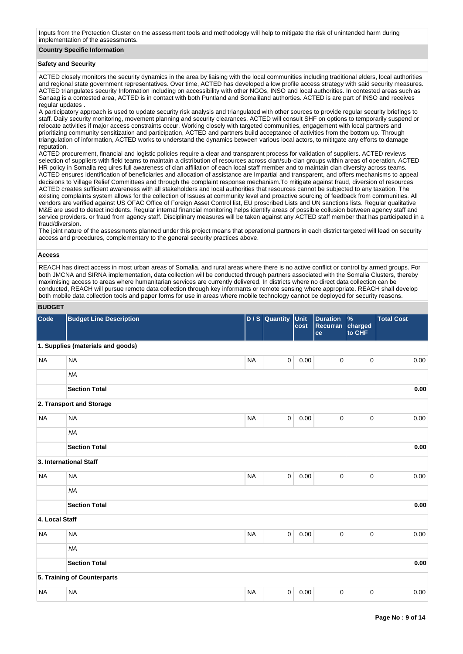Inputs from the Protection Cluster on the assessment tools and methodology will help to mitigate the risk of unintended harm during implementation of the assessments.

### **Country Specific Information**

#### **Safety and Security**

ACTED closely monitors the security dynamics in the area by liaising with the local communities including traditional elders, local authorities and regional state government representatives. Over time, ACTED has developed a low profile access strategy with said security measures. ACTED triangulates security Information including on accessibility with other NGOs, INSO and local authorities. In contested areas such as Sanaag is a contested area, ACTED is in contact with both Puntland and Somaliland authorties. ACTED is are part of INSO and receives regular updates .

A participatory approach is used to update security risk analysis and triangulated with other sources to provide regular security briefings to staff. Daily security monitoring, movement planning and security clearances. ACTED will consult SHF on options to temporarily suspend or relocate activities if major access constraints occur. Working closely with targeted communities, engagement with local partners and prioritizing community sensitization and participation, ACTED and partners build acceptance of activities from the bottom up. Through triangulation of information, ACTED works to understand the dynamics between various local actors, to mititgate any efforts to damage reputation.

ACTED procurement, financial and logistic policies require a clear and transparent process for validation of suppliers. ACTED reviews selection of suppliers with field teams to maintain a distribution of resources across clan/sub-clan groups within areas of operation. ACTED HR policy in Somalia req uires full awareness of clan affiliation of each local staff member and to maintain clan diversity across teams. ACTED ensures identification of beneficiaries and allocation of assistance are Impartial and transparent, and offers mechanisms to appeal decisions to Village Relief Committees and through the complaint response mechanism.To mitigate against fraud, diversion of resources ACTED creates sufficient awareness with all stakeholders and local authorities that resources cannot be subjected to any taxation. The existing complaints system allows for the collection of Issues at community level and proactive sourcing of feedback from communities. All vendors are verified against US OFAC Office of Foreign Asset Control list, EU proscribed Lists and UN sanctions lists. Regular qualitative M&E are used to detect incidents. Regular internal financial monitoring helps identify areas of possible collusion between agency staff and service providers. or fraud from agency staff. Disciplinary measures will be taken against any ACTED staff member that has participated in a fraud/diversion.

The joint nature of the assessments planned under this project means that operational partners in each district targeted will lead on security access and procedures, complementary to the general security practices above.

#### **Access**

REACH has direct access in most urban areas of Somalia, and rural areas where there is no active conflict or control by armed groups. For both JMCNA and SIRNA implementation, data collection will be conducted through partners associated with the Somalia Clusters, thereby maximising access to areas where humanitarian services are currently delivered. In districts where no direct data collection can be conducted, REACH will pursue remote data collection through key informants or remote sensing where appropriate. REACH shall develop both mobile data collection tools and paper forms for use in areas where mobile technology cannot be deployed for security reasons.

### **BUDGET**

| Code           | <b>Budget Line Description</b>    |           | D / S Quantity | Unit<br>cost | <b>Duration</b><br>Recurran<br>ce | $\frac{9}{6}$<br>charged<br>to CHF | <b>Total Cost</b> |
|----------------|-----------------------------------|-----------|----------------|--------------|-----------------------------------|------------------------------------|-------------------|
|                | 1. Supplies (materials and goods) |           |                |              |                                   |                                    |                   |
| <b>NA</b>      | <b>NA</b>                         | <b>NA</b> | $\mathsf 0$    | 0.00         | $\mathsf{O}\xspace$               | $\pmb{0}$                          | 0.00              |
|                | <b>NA</b>                         |           |                |              |                                   |                                    |                   |
|                | <b>Section Total</b>              |           |                |              |                                   |                                    | 0.00              |
|                | 2. Transport and Storage          |           |                |              |                                   |                                    |                   |
| <b>NA</b>      | <b>NA</b>                         | <b>NA</b> | $\mathbf 0$    | 0.00         | $\mathsf{O}\xspace$               | $\pmb{0}$                          | 0.00              |
|                | <b>NA</b>                         |           |                |              |                                   |                                    |                   |
|                | <b>Section Total</b>              |           |                |              |                                   |                                    | 0.00              |
|                | 3. International Staff            |           |                |              |                                   |                                    |                   |
| <b>NA</b>      | <b>NA</b>                         | <b>NA</b> | $\mathbf 0$    | 0.00         | $\mathbf 0$                       | $\pmb{0}$                          | 0.00              |
|                | <b>NA</b>                         |           |                |              |                                   |                                    |                   |
|                | <b>Section Total</b>              |           |                |              |                                   |                                    | 0.00              |
| 4. Local Staff |                                   |           |                |              |                                   |                                    |                   |
| <b>NA</b>      | <b>NA</b>                         | <b>NA</b> | $\mathsf 0$    | 0.00         | $\mathsf{O}\xspace$               | $\pmb{0}$                          | 0.00              |
|                | <b>NA</b>                         |           |                |              |                                   |                                    |                   |
|                | <b>Section Total</b>              |           |                |              |                                   |                                    | 0.00              |
|                | 5. Training of Counterparts       |           |                |              |                                   |                                    |                   |
| <b>NA</b>      | <b>NA</b>                         | <b>NA</b> | $\mathbf 0$    | 0.00         | $\mathsf{O}\xspace$               | $\pmb{0}$                          | 0.00              |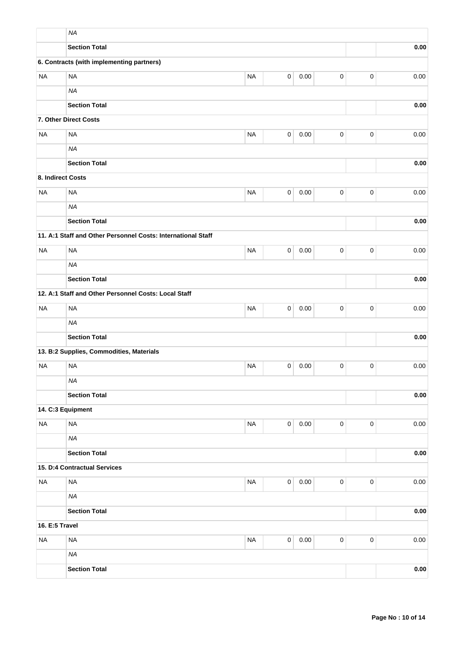|                   | <b>NA</b>                                                    |           |             |          |             |             |          |
|-------------------|--------------------------------------------------------------|-----------|-------------|----------|-------------|-------------|----------|
|                   | <b>Section Total</b>                                         |           |             |          |             |             | 0.00     |
|                   | 6. Contracts (with implementing partners)                    |           |             |          |             |             |          |
| <b>NA</b>         | <b>NA</b>                                                    | <b>NA</b> | 0           | 0.00     | $\pmb{0}$   | $\pmb{0}$   | 0.00     |
|                   | <b>NA</b>                                                    |           |             |          |             |             |          |
|                   | <b>Section Total</b>                                         |           |             |          |             |             | 0.00     |
|                   | 7. Other Direct Costs                                        |           |             |          |             |             |          |
| <b>NA</b>         | <b>NA</b>                                                    | <b>NA</b> | $\pmb{0}$   | 0.00     | $\pmb{0}$   | $\pmb{0}$   | 0.00     |
|                   | <b>NA</b>                                                    |           |             |          |             |             |          |
|                   | <b>Section Total</b>                                         |           |             |          |             |             | 0.00     |
| 8. Indirect Costs |                                                              |           |             |          |             |             |          |
| <b>NA</b>         | <b>NA</b>                                                    | <b>NA</b> | 0           | 0.00     | $\pmb{0}$   | $\mathbf 0$ | 0.00     |
|                   | <b>NA</b>                                                    |           |             |          |             |             |          |
|                   | <b>Section Total</b>                                         |           |             |          |             |             | 0.00     |
|                   | 11. A:1 Staff and Other Personnel Costs: International Staff |           |             |          |             |             |          |
| <b>NA</b>         | <b>NA</b>                                                    | <b>NA</b> | 0           | 0.00     | $\pmb{0}$   | $\mathbf 0$ | 0.00     |
|                   | <b>NA</b>                                                    |           |             |          |             |             |          |
|                   | <b>Section Total</b>                                         |           |             |          |             |             | 0.00     |
|                   | 12. A:1 Staff and Other Personnel Costs: Local Staff         |           |             |          |             |             |          |
| <b>NA</b>         | <b>NA</b>                                                    | <b>NA</b> | 0           | 0.00     | $\pmb{0}$   | $\pmb{0}$   | 0.00     |
|                   | <b>NA</b>                                                    |           |             |          |             |             |          |
|                   | <b>Section Total</b>                                         |           |             |          |             |             | 0.00     |
|                   | 13. B:2 Supplies, Commodities, Materials                     |           |             |          |             |             |          |
| <b>NA</b>         | <b>NA</b>                                                    | <b>NA</b> | 0           | 0.00     | 0           | $\mathbf 0$ | 0.00     |
|                   | <b>NA</b>                                                    |           |             |          |             |             |          |
|                   | <b>Section Total</b>                                         |           |             |          |             |             | 0.00     |
|                   | 14. C:3 Equipment                                            |           |             |          |             |             |          |
| <b>NA</b>         | <b>NA</b>                                                    | <b>NA</b> | $\mathsf 0$ | 0.00     | $\pmb{0}$   | $\pmb{0}$   | 0.00     |
|                   | <b>NA</b>                                                    |           |             |          |             |             |          |
|                   | <b>Section Total</b>                                         |           |             |          |             |             | 0.00     |
|                   | 15. D:4 Contractual Services                                 |           |             |          |             |             |          |
| <b>NA</b>         | <b>NA</b>                                                    | <b>NA</b> | $\mathsf 0$ | $0.00\,$ | $\pmb{0}$   | $\mathbf 0$ | $0.00\,$ |
|                   | <b>NA</b>                                                    |           |             |          |             |             |          |
|                   | <b>Section Total</b>                                         |           |             |          |             |             | 0.00     |
| 16. E:5 Travel    |                                                              |           |             |          |             |             |          |
| <b>NA</b>         | <b>NA</b>                                                    | <b>NA</b> | $\mathsf 0$ | 0.00     | $\mathsf 0$ | $\pmb{0}$   | $0.00\,$ |
|                   | <b>NA</b>                                                    |           |             |          |             |             |          |
|                   | <b>Section Total</b>                                         |           |             |          |             |             | 0.00     |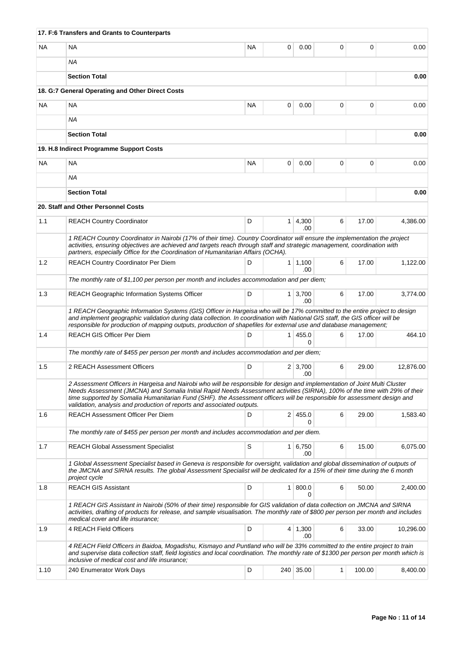|           | 17. F:6 Transfers and Grants to Counterparts                                                                                                                                                                                                                                                                                                                                                                                                                   |           |                |                        |   |          |           |
|-----------|----------------------------------------------------------------------------------------------------------------------------------------------------------------------------------------------------------------------------------------------------------------------------------------------------------------------------------------------------------------------------------------------------------------------------------------------------------------|-----------|----------------|------------------------|---|----------|-----------|
| <b>NA</b> | <b>NA</b>                                                                                                                                                                                                                                                                                                                                                                                                                                                      | <b>NA</b> | 0              | 0.00                   | 0 | $\Omega$ | 0.00      |
|           | ΝA                                                                                                                                                                                                                                                                                                                                                                                                                                                             |           |                |                        |   |          |           |
|           | <b>Section Total</b>                                                                                                                                                                                                                                                                                                                                                                                                                                           |           |                |                        |   |          | 0.00      |
|           | 18. G:7 General Operating and Other Direct Costs                                                                                                                                                                                                                                                                                                                                                                                                               |           |                |                        |   |          |           |
| <b>NA</b> | NA                                                                                                                                                                                                                                                                                                                                                                                                                                                             | <b>NA</b> | 0              | 0.00                   | 0 | 0        | 0.00      |
|           | <b>NA</b>                                                                                                                                                                                                                                                                                                                                                                                                                                                      |           |                |                        |   |          |           |
|           | <b>Section Total</b>                                                                                                                                                                                                                                                                                                                                                                                                                                           |           |                |                        |   |          | 0.00      |
|           | 19. H.8 Indirect Programme Support Costs                                                                                                                                                                                                                                                                                                                                                                                                                       |           |                |                        |   |          |           |
| <b>NA</b> | <b>NA</b>                                                                                                                                                                                                                                                                                                                                                                                                                                                      | <b>NA</b> | 0              | 0.00                   | 0 | 0        | 0.00      |
|           | ΝA                                                                                                                                                                                                                                                                                                                                                                                                                                                             |           |                |                        |   |          |           |
|           | <b>Section Total</b>                                                                                                                                                                                                                                                                                                                                                                                                                                           |           |                |                        |   |          | 0.00      |
|           | 20. Staff and Other Personnel Costs                                                                                                                                                                                                                                                                                                                                                                                                                            |           |                |                        |   |          |           |
| 1.1       | <b>REACH Country Coordinator</b>                                                                                                                                                                                                                                                                                                                                                                                                                               | D         |                | $1 \mid 4,300$<br>.00  | 6 | 17.00    | 4,386.00  |
|           | 1 REACH Country Coordinator in Nairobi (17% of their time). Country Coordinator will ensure the implementation the project                                                                                                                                                                                                                                                                                                                                     |           |                |                        |   |          |           |
|           | activities, ensuring objectives are achieved and targets reach through staff and strategic management, coordination with<br>partners, especially Office for the Coordination of Humanitarian Affairs (OCHA).                                                                                                                                                                                                                                                   |           |                |                        |   |          |           |
| 1.2       | <b>REACH Country Coordinator Per Diem</b>                                                                                                                                                                                                                                                                                                                                                                                                                      | D         |                | $1 \mid 1,100$<br>.00  | 6 | 17.00    | 1,122.00  |
|           | The monthly rate of \$1,100 per person per month and includes accommodation and per diem;                                                                                                                                                                                                                                                                                                                                                                      |           |                |                        |   |          |           |
| 1.3       | <b>REACH Geographic Information Systems Officer</b>                                                                                                                                                                                                                                                                                                                                                                                                            | D         |                | $1 \mid 3,700$<br>.00  | 6 | 17.00    | 3,774.00  |
|           | 1 REACH Geographic Information Systems (GIS) Officer in Hargeisa who will be 17% committed to the entire project to design<br>and implement geographic validation during data collection. In coordination with National GIS staff, the GIS officer will be<br>responsible for production of mapping outputs, production of shapefiles for external use and database management;                                                                                |           |                |                        |   |          |           |
| 1.4       | <b>REACH GIS Officer Per Diem</b>                                                                                                                                                                                                                                                                                                                                                                                                                              | D         |                | 1   455.0<br>0         | 6 | 17.00    | 464.10    |
|           | The monthly rate of \$455 per person per month and includes accommodation and per diem;                                                                                                                                                                                                                                                                                                                                                                        |           |                |                        |   |          |           |
| 1.5       | 2 REACH Assessment Officers                                                                                                                                                                                                                                                                                                                                                                                                                                    | D         |                | 2 3.700<br>.00         | 6 | 29.00    | 12,876.00 |
|           | 2 Assessment Officers in Hargeisa and Nairobi who will be responsible for design and implementation of Joint Multi Cluster<br>Needs Assessment (JMCNA) and Somalia Initial Rapid Needs Assessment activities (SIRNA), 100% of the time with 29% of their<br>time supported by Somalia Humanitarian Fund (SHF). the Assessment officers will be responsible for assessment design and<br>validation, analysis and production of reports and associated outputs. |           |                |                        |   |          |           |
| 1.6       | <b>REACH Assessment Officer Per Diem</b>                                                                                                                                                                                                                                                                                                                                                                                                                       | D         |                | 2 455.0<br>0           | 6 | 29.00    | 1,583.40  |
|           | The monthly rate of \$455 per person per month and includes accommodation and per diem.                                                                                                                                                                                                                                                                                                                                                                        |           |                |                        |   |          |           |
| 1.7       | <b>REACH Global Assessment Specialist</b>                                                                                                                                                                                                                                                                                                                                                                                                                      | S         |                | $1 \vert 6,750$<br>.00 | 6 | 15.00    | 6,075.00  |
|           | 1 Global Assessment Specialist based in Geneva is responsible for oversight, validation and global dissemination of outputs of<br>the JMCNA and SIRNA results. The global Assessment Specialist will be dedicated for a 15% of their time during the 6 month<br>project cycle                                                                                                                                                                                  |           |                |                        |   |          |           |
| 1.8       | <b>REACH GIS Assistant</b>                                                                                                                                                                                                                                                                                                                                                                                                                                     | D         | 1 <sup>1</sup> | 800.0<br>0             | 6 | 50.00    | 2,400.00  |
|           | 1 REACH GIS Assistant in Nairobi (50% of their time) responsible for GIS validation of data collection on JMCNA and SIRNA<br>activities, drafting of products for release, and sample visualisation. The monthly rate of \$800 per person per month and includes<br>medical cover and life insurance;                                                                                                                                                          |           |                |                        |   |          |           |
| 1.9       | 4 REACH Field Officers                                                                                                                                                                                                                                                                                                                                                                                                                                         | D         |                | $4 \mid 1,300$<br>.00  | 6 | 33.00    | 10,296.00 |
|           | 4 REACH Field Officers in Baidoa, Mogadishu, Kismayo and Puntland who will be 33% committed to the entire project to train<br>and supervise data collection staff, field logistics and local coordination. The monthly rate of \$1300 per person per month which is<br>inclusive of medical cost and life insurance;                                                                                                                                           |           |                |                        |   |          |           |
| 1.10      | 240 Enumerator Work Days                                                                                                                                                                                                                                                                                                                                                                                                                                       | D         |                | 240 35.00              | 1 | 100.00   | 8,400.00  |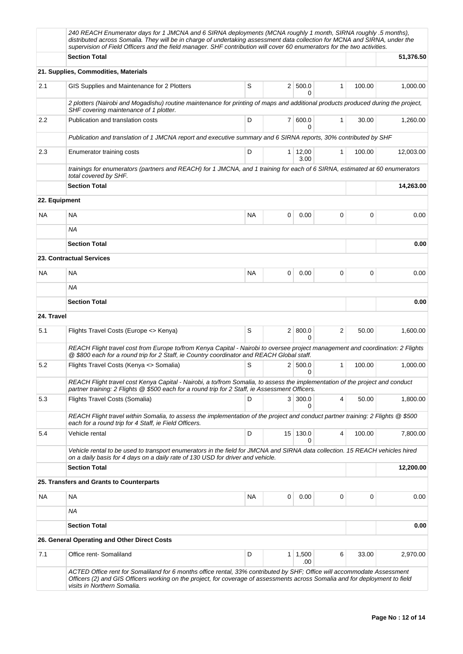|            | 240 REACH Enumerator days for 1 JMCNA and 6 SIRNA deployments (MCNA roughly 1 month, SIRNA roughly .5 months),<br>distributed across Somalia. They will be in charge of undertaking assessment data collection for MCNA and SIRNA, under the<br>supervision of Field Officers and the field manager. SHF contribution will cover 60 enumerators for the two activities. |           |                |                        |                |        |           |
|------------|-------------------------------------------------------------------------------------------------------------------------------------------------------------------------------------------------------------------------------------------------------------------------------------------------------------------------------------------------------------------------|-----------|----------------|------------------------|----------------|--------|-----------|
|            | <b>Section Total</b>                                                                                                                                                                                                                                                                                                                                                    |           |                |                        |                |        | 51,376.50 |
|            | 21. Supplies, Commodities, Materials                                                                                                                                                                                                                                                                                                                                    |           |                |                        |                |        |           |
| 2.1        | GIS Supplies and Maintenance for 2 Plotters                                                                                                                                                                                                                                                                                                                             | S         |                | 2   500.0<br>0         | 1              | 100.00 | 1,000.00  |
|            | 2 plotters (Nairobi and Mogadishu) routine maintenance for printing of maps and additional products produced during the project,<br>SHF covering maintenance of 1 plotter.                                                                                                                                                                                              |           |                |                        |                |        |           |
| 2.2        | Publication and translation costs                                                                                                                                                                                                                                                                                                                                       | D         | 7 <sup>1</sup> | 600.0<br>$\Omega$      | 1              | 30.00  | 1,260.00  |
|            | Publication and translation of 1 JMCNA report and executive summary and 6 SIRNA reports, 30% contributed by SHF                                                                                                                                                                                                                                                         |           |                |                        |                |        |           |
| 2.3        | Enumerator training costs                                                                                                                                                                                                                                                                                                                                               | D         |                | $1 \mid 12,00$<br>3.00 | 1              | 100.00 | 12,003.00 |
|            | trainings for enumerators (partners and REACH) for 1 JMCNA, and 1 training for each of 6 SIRNA, estimated at 60 enumerators<br>total covered by SHF.                                                                                                                                                                                                                    |           |                |                        |                |        |           |
|            | <b>Section Total</b>                                                                                                                                                                                                                                                                                                                                                    |           |                |                        |                |        | 14,263.00 |
|            | 22. Equipment                                                                                                                                                                                                                                                                                                                                                           |           |                |                        |                |        |           |
| NA         | <b>NA</b>                                                                                                                                                                                                                                                                                                                                                               | <b>NA</b> | 0              | 0.00                   | 0              | 0      | 0.00      |
|            | ΝA                                                                                                                                                                                                                                                                                                                                                                      |           |                |                        |                |        |           |
|            | <b>Section Total</b>                                                                                                                                                                                                                                                                                                                                                    |           |                |                        |                |        | 0.00      |
|            | 23. Contractual Services                                                                                                                                                                                                                                                                                                                                                |           |                |                        |                |        |           |
| NA.        | NA                                                                                                                                                                                                                                                                                                                                                                      | <b>NA</b> | 0              | 0.00                   | 0              | 0      | 0.00      |
|            | ΝA                                                                                                                                                                                                                                                                                                                                                                      |           |                |                        |                |        |           |
|            | <b>Section Total</b>                                                                                                                                                                                                                                                                                                                                                    |           |                |                        |                |        | 0.00      |
| 24. Travel |                                                                                                                                                                                                                                                                                                                                                                         |           |                |                        |                |        |           |
| 5.1        | Flights Travel Costs (Europe <> Kenya)                                                                                                                                                                                                                                                                                                                                  | S         |                | 2   800.0<br>0         | $\overline{2}$ | 50.00  | 1,600.00  |
|            | REACH Flight travel cost from Europe to/from Kenya Capital - Nairobi to oversee project management and coordination: 2 Flights<br>@ \$800 each for a round trip for 2 Staff, ie Country coordinator and REACH Global staff.                                                                                                                                             |           |                |                        |                |        |           |
| 5.2        | Flights Travel Costs (Kenya <> Somalia)                                                                                                                                                                                                                                                                                                                                 | S         |                | 2   500.0<br>0         | 1              | 100.00 | 1,000.00  |
|            | REACH Flight travel cost Kenya Capital - Nairobi, a to/from Somalia, to assess the implementation of the project and conduct<br>partner training: 2 Flights @ \$500 each for a round trip for 2 Staff, ie Assessment Officers.                                                                                                                                          |           |                |                        |                |        |           |
| 5.3        | Flights Travel Costs (Somalia)                                                                                                                                                                                                                                                                                                                                          | D         | 3 <sup>1</sup> | 300.0<br>0             | 4              | 50.00  | 1,800.00  |
|            | REACH Flight travel within Somalia, to assess the implementation of the project and conduct partner training: 2 Flights @ \$500<br>each for a round trip for 4 Staff, ie Field Officers.                                                                                                                                                                                |           |                |                        |                |        |           |
| 5.4        | Vehicle rental                                                                                                                                                                                                                                                                                                                                                          | D         |                | 15 130.0<br>0          | 4              | 100.00 | 7,800.00  |
|            | Vehicle rental to be used to transport enumerators in the field for JMCNA and SIRNA data collection. 15 REACH vehicles hired<br>on a daily basis for 4 days on a daily rate of 130 USD for driver and vehicle.                                                                                                                                                          |           |                |                        |                |        |           |
|            | <b>Section Total</b>                                                                                                                                                                                                                                                                                                                                                    |           |                |                        |                |        | 12,200.00 |
|            | 25. Transfers and Grants to Counterparts                                                                                                                                                                                                                                                                                                                                |           |                |                        |                |        |           |
| NA.        | NA                                                                                                                                                                                                                                                                                                                                                                      | <b>NA</b> | 0              | 0.00                   | 0              | 0      | 0.00      |
|            | ΝA                                                                                                                                                                                                                                                                                                                                                                      |           |                |                        |                |        |           |
|            | <b>Section Total</b>                                                                                                                                                                                                                                                                                                                                                    |           |                |                        |                |        | 0.00      |
|            | 26. General Operating and Other Direct Costs                                                                                                                                                                                                                                                                                                                            |           |                |                        |                |        |           |
| 7.1        | Office rent-Somaliland                                                                                                                                                                                                                                                                                                                                                  | D         |                | $1 \mid 1,500$<br>.00  | 6              | 33.00  | 2,970.00  |
|            | ACTED Office rent for Somaliland for 6 months office rental, 33% contributed by SHF; Office will accommodate Assessment<br>Officers (2) and GIS Officers working on the project, for coverage of assessments across Somalia and for deployment to field<br>visits in Northern Somalia.                                                                                  |           |                |                        |                |        |           |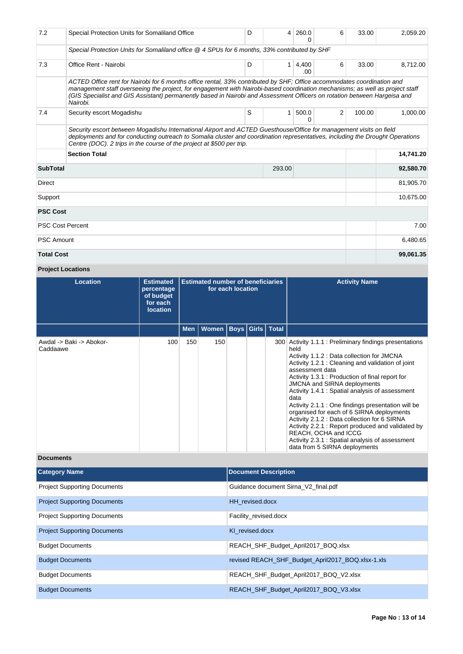| 7.2               | Special Protection Units for Somaliland Office                                                                                                                                                                                                                                                                                                                                                 | D | 4            | 260.0<br>0   | 6 | 33.00  | 2,059.20  |
|-------------------|------------------------------------------------------------------------------------------------------------------------------------------------------------------------------------------------------------------------------------------------------------------------------------------------------------------------------------------------------------------------------------------------|---|--------------|--------------|---|--------|-----------|
|                   | Special Protection Units for Somaliland office @ 4 SPUs for 6 months, 33% contributed by SHF                                                                                                                                                                                                                                                                                                   |   |              |              |   |        |           |
| 7.3               | Office Rent - Nairobi                                                                                                                                                                                                                                                                                                                                                                          | D | $\mathbf{1}$ | 4,400<br>.00 | 6 | 33.00  | 8,712.00  |
|                   | ACTED Office rent for Nairobi for 6 months office rental, 33% contributed by SHF; Office accommodates coordination and<br>management staff overseeing the project, for engagement with Nairobi-based coordination mechanisms; as well as project staff<br>(GIS Specialist and GIS Assistant) permanently based in Nairobi and Assessment Officers on rotation between Hargeisa and<br>Nairobi. |   |              |              |   |        |           |
| 7.4               | Security escort Mogadishu                                                                                                                                                                                                                                                                                                                                                                      | S | 1            | 500.0<br>0   | 2 | 100.00 | 1.000.00  |
|                   | Security escort between Mogadishu International Airport and ACTED Guesthouse/Office for management visits on field<br>deployments and for conducting outreach to Somalia cluster and coordination representatives, including the Drought Operations<br>Centre (DOC). 2 trips in the course of the project at \$500 per trip.                                                                   |   |              |              |   |        |           |
|                   | <b>Section Total</b>                                                                                                                                                                                                                                                                                                                                                                           |   |              |              |   |        | 14,741.20 |
| <b>SubTotal</b>   |                                                                                                                                                                                                                                                                                                                                                                                                |   | 293.00       |              |   |        | 92,580.70 |
| Direct            |                                                                                                                                                                                                                                                                                                                                                                                                |   |              |              |   |        | 81,905.70 |
| Support           |                                                                                                                                                                                                                                                                                                                                                                                                |   |              |              |   |        | 10,675.00 |
| <b>PSC Cost</b>   |                                                                                                                                                                                                                                                                                                                                                                                                |   |              |              |   |        |           |
|                   | <b>PSC Cost Percent</b>                                                                                                                                                                                                                                                                                                                                                                        |   |              |              |   |        | 7.00      |
| <b>PSC Amount</b> |                                                                                                                                                                                                                                                                                                                                                                                                |   |              |              |   |        | 6,480.65  |
| <b>Total Cost</b> |                                                                                                                                                                                                                                                                                                                                                                                                |   |              |              |   |        | 99,061.35 |

# **Project Locations**

| Location                             | <b>Estimated</b><br>percentage<br>of budget<br>for each<br><b>location</b> | <b>Estimated number of beneficiaries</b><br>for each location |                              |  |  | <b>Activity Name</b>                                                                                                                                                                                                                                                                                                                                                                                                                                                                                                                                                                                                                                          |
|--------------------------------------|----------------------------------------------------------------------------|---------------------------------------------------------------|------------------------------|--|--|---------------------------------------------------------------------------------------------------------------------------------------------------------------------------------------------------------------------------------------------------------------------------------------------------------------------------------------------------------------------------------------------------------------------------------------------------------------------------------------------------------------------------------------------------------------------------------------------------------------------------------------------------------------|
|                                      |                                                                            | <b>Men</b>                                                    | Women   Boys   Girls   Total |  |  |                                                                                                                                                                                                                                                                                                                                                                                                                                                                                                                                                                                                                                                               |
| Awdal -> Baki -> Abokor-<br>Caddaawe | 100                                                                        | 150                                                           | 150                          |  |  | 300 Activity 1.1.1 : Preliminary findings presentations<br>held<br>Activity 1.1.2 : Data collection for JMCNA<br>Activity 1.2.1 : Cleaning and validation of joint<br>assessment data<br>Activity 1.3.1 : Production of final report for<br><b>JMCNA and SIRNA deployments</b><br>Activity 1.4.1 : Spatial analysis of assessment<br>data<br>Activity 2.1.1 : One findings presentation will be<br>organised for each of 6 SIRNA deployments<br>Activity 2.1.2 : Data collection for 6 SIRNA<br>Activity 2.2.1 : Report produced and validated by<br>REACH, OCHA and ICCG<br>Activity 2.3.1 : Spatial analysis of assessment<br>data from 5 SIRNA deployments |

# **Documents**

| <b>Category Name</b>                | <b>Document Description</b>                        |
|-------------------------------------|----------------------------------------------------|
| <b>Project Supporting Documents</b> | Guidance document Sirna V2 final.pdf               |
| <b>Project Supporting Documents</b> | HH revised.docx                                    |
| <b>Project Supporting Documents</b> | Facility_revised.docx                              |
| <b>Project Supporting Documents</b> | KI revised.docx                                    |
| <b>Budget Documents</b>             | REACH_SHF_Budget_April2017_BOQ.xlsx                |
| <b>Budget Documents</b>             | revised REACH SHF Budget April 2017 BOQ.xlsx-1.xls |
| <b>Budget Documents</b>             | REACH_SHF_Budget_April2017_BOQ_V2.xlsx             |
| <b>Budget Documents</b>             | REACH SHF Budget April 2017 BOQ V3.xlsx            |